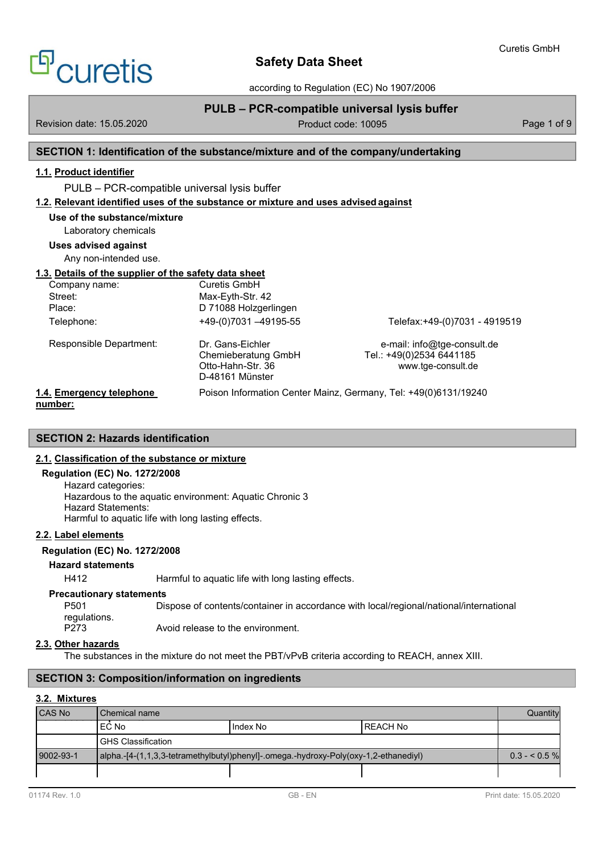according to Regulation (EC) No 1907/2006

# **PULB – PCR-compatible universal lysis buffer**

Revision date: 15.05.2020 Page 1 of 9 Product code: 10095 Page 1 of 9

<sup>9'</sup>CLIretis

# **SECTION 1: Identification of the substance/mixture and of the company/undertaking**

# **1.1. Product identifier**

PULB – PCR-compatible universal lysis buffer

**1.2. Relevant identified uses of the substance or mixture and uses advised against**

| Use of the substance/mixture<br>Laboratory chemicals  |                                                                                 |                                                                               |
|-------------------------------------------------------|---------------------------------------------------------------------------------|-------------------------------------------------------------------------------|
| Uses advised against<br>Any non-intended use.         |                                                                                 |                                                                               |
| 1.3. Details of the supplier of the safety data sheet |                                                                                 |                                                                               |
| Company name:                                         | Curetis GmbH                                                                    |                                                                               |
| Street:                                               | Max-Eyth-Str. 42                                                                |                                                                               |
| Place:                                                | D 71088 Holzgerlingen                                                           |                                                                               |
| Telephone:                                            | $+49(0)7031 - 49195-55$                                                         | Telefax:+49-(0)7031 - 4919519                                                 |
| Responsible Department:                               | Dr. Gans-Eichler<br>Chemieberatung GmbH<br>Otto-Hahn-Str. 36<br>D-48161 Münster | e-mail: info@tge-consult.de<br>Tel.: +49(0)2534 6441185<br>www.tge-consult.de |
| 1.4. Emergency telephone                              |                                                                                 | Poison Information Center Mainz, Germany, Tel: +49(0)6131/19240               |

# **number:**

# **SECTION 2: Hazards identification**

## **2.1. Classification of the substance or mixture**

## **Regulation (EC) No. 1272/2008**

Hazard categories: Hazardous to the aquatic environment: Aquatic Chronic 3 Hazard Statements: Harmful to aquatic life with long lasting effects.

## **2.2. Label elements**

## **Regulation (EC) No. 1272/2008**

## **Hazard statements**

H412 Harmful to aquatic life with long lasting effects.

## **Precautionary statements**

P501 Dispose of contents/container in accordance with local/regional/national/international regulations. P273 Avoid release to the environment.

## **2.3. Other hazards**

The substances in the mixture do not meet the PBT/vPvB criteria according to REACH, annex XIII.

# **SECTION 3: Composition/information on ingredients**

## **3.2. Mixtures**

| <b>CAS No</b> | Chemical name                                                                                |          |                 | Quantity |
|---------------|----------------------------------------------------------------------------------------------|----------|-----------------|----------|
|               | EC No                                                                                        | Index No | <b>REACH No</b> |          |
|               | <b>IGHS Classification</b>                                                                   |          |                 |          |
| 9002-93-1     | $ $ alpha.- $[4-(1,1,3,3-tetramethylbutyl)phenyl]$ -.omega.-hydroxy-Poly(oxy-1,2-ethanediyl) |          | $0.3 - 5.5 \%$  |          |
|               |                                                                                              |          |                 |          |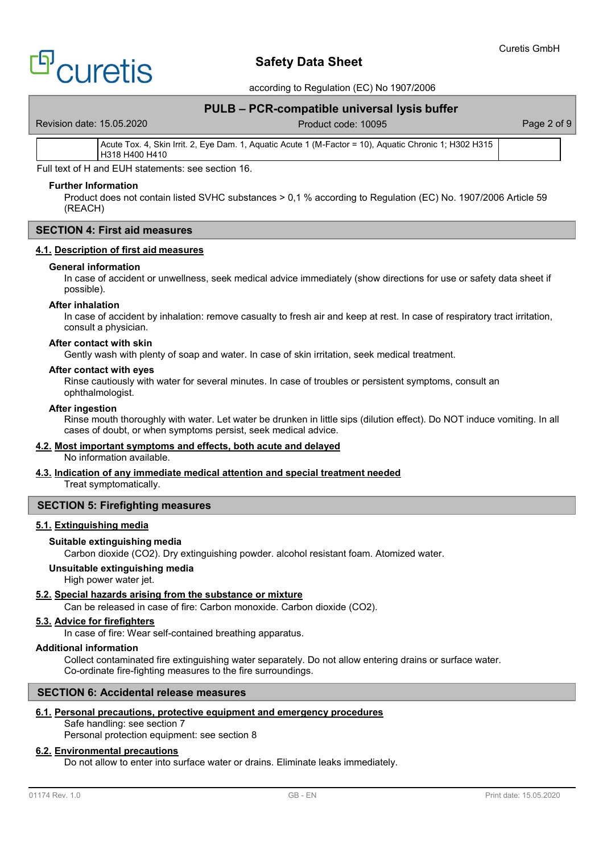# <sup>9'</sup>CLIretis

# **Safety Data Sheet**

according to Regulation (EC) No 1907/2006

# **PULB – PCR-compatible universal lysis buffer**

Revision date: 15.05.2020 **Product code: 10095** Page 2 of 9

Acute Tox. 4, Skin Irrit. 2, Eye Dam. 1, Aquatic Acute 1 (M-Factor = 10), Aquatic Chronic 1; H302 H315 H318 H400 H410

Full text of H and EUH statements: see section 16.

## **Further Information**

Product does not contain listed SVHC substances > 0,1 % according to Regulation (EC) No. 1907/2006 Article 59 (REACH)

# **SECTION 4: First aid measures**

## **4.1. Description of first aid measures**

### **General information**

In case of accident or unwellness, seek medical advice immediately (show directions for use or safety data sheet if possible).

## **After inhalation**

In case of accident by inhalation: remove casualty to fresh air and keep at rest. In case of respiratory tract irritation, consult a physician.

### **After contact with skin**

Gently wash with plenty of soap and water. In case of skin irritation, seek medical treatment.

#### **After contact with eyes**

Rinse cautiously with water for several minutes. In case of troubles or persistent symptoms, consult an ophthalmologist.

### **After ingestion**

Rinse mouth thoroughly with water. Let water be drunken in little sips (dilution effect). Do NOT induce vomiting. In all cases of doubt, or when symptoms persist, seek medical advice.

### **4.2. Most important symptoms and effects, both acute and delayed**

No information available.

# **4.3. Indication of any immediate medical attention and special treatment needed**

Treat symptomatically.

## **SECTION 5: Firefighting measures**

## **5.1. Extinguishing media**

### **Suitable extinguishing media**

Carbon dioxide (CO2). Dry extinguishing powder. alcohol resistant foam. Atomized water.

### **Unsuitable extinguishing media**

High power water jet.

# **5.2. Special hazards arising from the substance or mixture**

Can be released in case of fire: Carbon monoxide. Carbon dioxide (CO2).

# **5.3. Advice for firefighters**

In case of fire: Wear self-contained breathing apparatus.

# **Additional information**

Collect contaminated fire extinguishing water separately. Do not allow entering drains or surface water. Co-ordinate fire-fighting measures to the fire surroundings.

# **SECTION 6: Accidental release measures**

# **6.1. Personal precautions, protective equipment and emergency procedures**

Safe handling: see section 7

Personal protection equipment: see section 8

# **6.2. Environmental precautions**

Do not allow to enter into surface water or drains. Eliminate leaks immediately.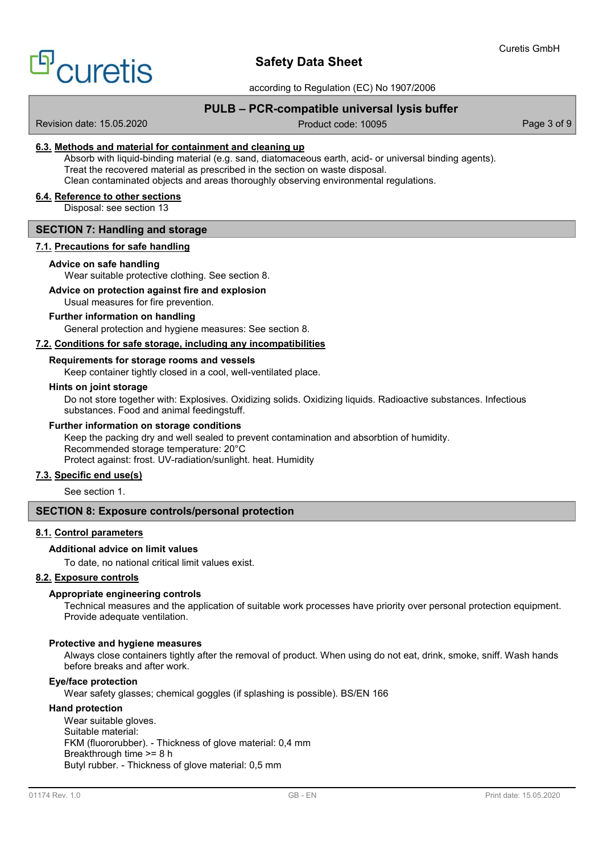

according to Regulation (EC) No 1907/2006

# **PULB – PCR-compatible universal lysis buffer**

Revision date: 15.05.2020 **Product code: 10095** Page 3 of 9

## **6.3. Methods and material for containment and cleaning up**

Absorb with liquid-binding material (e.g. sand, diatomaceous earth, acid- or universal binding agents). Treat the recovered material as prescribed in the section on waste disposal. Clean contaminated objects and areas thoroughly observing environmental regulations.

## **6.4. Reference to other sections**

Disposal: see section 13

## **SECTION 7: Handling and storage**

# **7.1. Precautions for safe handling**

### **Advice on safe handling**

Wear suitable protective clothing. See section 8.

# **Advice on protection against fire and explosion**

Usual measures for fire prevention.

## **Further information on handling**

General protection and hygiene measures: See section 8.

## **7.2. Conditions for safe storage, including any incompatibilities**

## **Requirements for storage rooms and vessels**

Keep container tightly closed in a cool, well-ventilated place.

### **Hints on joint storage**

Do not store together with: Explosives. Oxidizing solids. Oxidizing liquids. Radioactive substances. Infectious substances. Food and animal feedingstuff.

## **Further information on storage conditions**

Keep the packing dry and well sealed to prevent contamination and absorbtion of humidity. Recommended storage temperature: 20°C Protect against: frost. UV-radiation/sunlight. heat. Humidity

# **7.3. Specific end use(s)**

See section 1.

## **SECTION 8: Exposure controls/personal protection**

## **8.1. Control parameters**

### **Additional advice on limit values**

To date, no national critical limit values exist.

## **8.2. Exposure controls**

### **Appropriate engineering controls**

Technical measures and the application of suitable work processes have priority over personal protection equipment. Provide adequate ventilation.

### **Protective and hygiene measures**

Always close containers tightly after the removal of product. When using do not eat, drink, smoke, sniff. Wash hands before breaks and after work.

## **Eye/face protection**

Wear safety glasses; chemical goggles (if splashing is possible). BS/EN 166

### **Hand protection**

Wear suitable gloves. Suitable material: FKM (fluororubber). - Thickness of glove material: 0,4 mm Breakthrough time >= 8 h Butyl rubber. - Thickness of glove material: 0,5 mm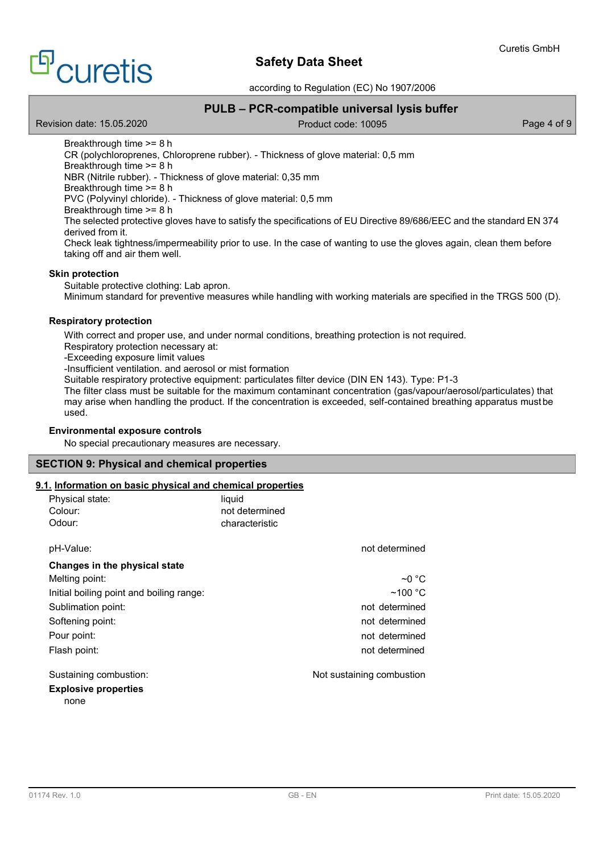# <sup>E</sup>curetis

# **Safety Data Sheet**

according to Regulation (EC) No 1907/2006

# **PULB – PCR-compatible universal lysis buffer**

Revision date: 15.05.2020 **Product code: 10095** Page 4 of 9

Breakthrough time >= 8 h CR (polychloroprenes, Chloroprene rubber). - Thickness of glove material: 0,5 mm Breakthrough time >= 8 h NBR (Nitrile rubber). - Thickness of glove material: 0,35 mm Breakthrough time >= 8 h PVC (Polyvinyl chloride). - Thickness of glove material: 0,5 mm Breakthrough time >= 8 h The selected protective gloves have to satisfy the specifications of EU Directive 89/686/EEC and the standard EN 374 derived from it. Check leak tightness/impermeability prior to use. In the case of wanting to use the gloves again, clean them before taking off and air them well.

## **Skin protection**

Suitable protective clothing: Lab apron. Minimum standard for preventive measures while handling with working materials are specified in the TRGS 500 (D).

## **Respiratory protection**

With correct and proper use, and under normal conditions, breathing protection is not required. Respiratory protection necessary at:

-Exceeding exposure limit values

-Insufficient ventilation. and aerosol or mist formation

Suitable respiratory protective equipment: particulates filter device (DIN EN 143). Type: P1-3

The filter class must be suitable for the maximum contaminant concentration (gas/vapour/aerosol/particulates) that may arise when handling the product. If the concentration is exceeded, self-contained breathing apparatus mustbe used.

## **Environmental exposure controls**

No special precautionary measures are necessary.

## **SECTION 9: Physical and chemical properties**

## **9.1. Information on basic physical and chemical properties**

| Physical state:<br>Colour:<br>Odour:     | liquid<br>not determined<br>characteristic |                           |
|------------------------------------------|--------------------------------------------|---------------------------|
| pH-Value:                                |                                            | not determined            |
| Changes in the physical state            |                                            |                           |
| Melting point:                           |                                            | $\sim$ 0 °C               |
| Initial boiling point and boiling range: |                                            | $~100~{\rm ^{\circ}C}$    |
| Sublimation point:                       |                                            | not determined            |
| Softening point:                         |                                            | not determined            |
| Pour point:                              |                                            | not determined            |
| Flash point:                             |                                            | not determined            |
| Sustaining combustion:                   |                                            | Not sustaining combustion |
| <b>Explosive properties</b><br>none      |                                            |                           |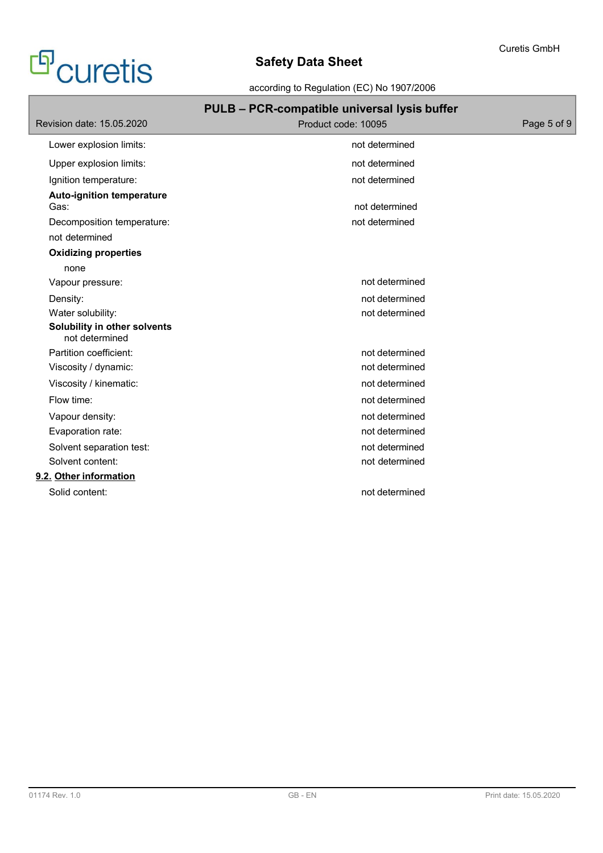# <sup>c</sup>Curetis

# **Safety Data Sheet**

according to Regulation (EC) No 1907/2006

| PULB - PCR-compatible universal lysis buffer |             |
|----------------------------------------------|-------------|
| Product code: 10095                          | Page 5 of 9 |
| not determined                               |             |
| not determined                               |             |
| not determined                               |             |
| not determined                               |             |
| not determined                               |             |
|                                              |             |
|                                              |             |
|                                              |             |
| not determined                               |             |
| not determined                               |             |
| not determined                               |             |
|                                              |             |
| not determined                               |             |
| not determined                               |             |
| not determined                               |             |
| not determined                               |             |
| not determined                               |             |
| not determined                               |             |
| not determined                               |             |
| not determined                               |             |
|                                              |             |
| not determined                               |             |
|                                              |             |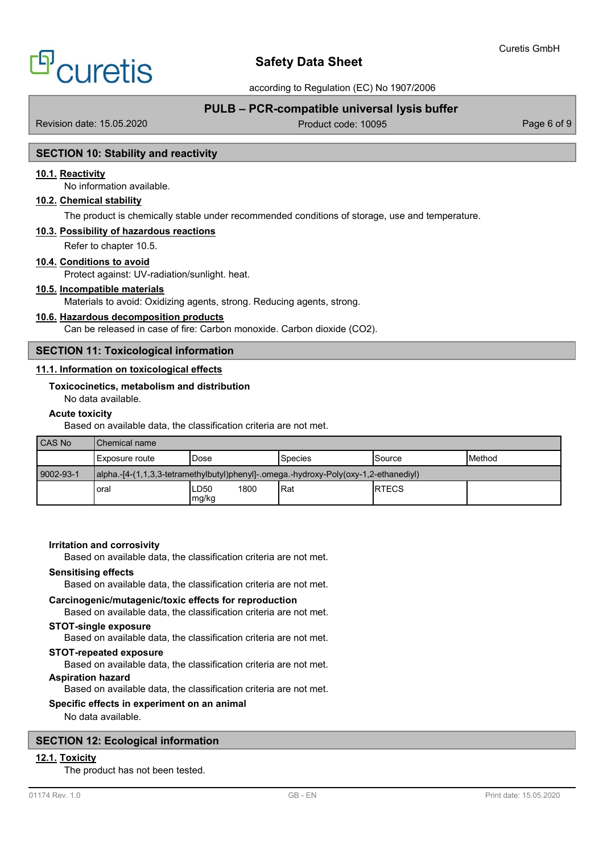# <sup>9'</sup>Curetis

# **Safety Data Sheet**

according to Regulation (EC) No 1907/2006

# **PULB – PCR-compatible universal lysis buffer**

Revision date: 15.05.2020 **Product code: 10095** Page 6 of 9

## **SECTION 10: Stability and reactivity**

## **10.1. Reactivity**

No information available.

## **10.2. Chemical stability**

The product is chemically stable under recommended conditions of storage, use and temperature.

## **10.3. Possibility of hazardous reactions**

Refer to chapter 10.5.

## **10.4. Conditions to avoid**

Protect against: UV-radiation/sunlight. heat.

## **10.5. Incompatible materials**

Materials to avoid: Oxidizing agents, strong. Reducing agents, strong.

## **10.6. Hazardous decomposition products**

Can be released in case of fire: Carbon monoxide. Carbon dioxide (CO2).

## **SECTION 11: Toxicological information**

## **11.1. Information on toxicological effects**

## **Toxicocinetics, metabolism and distribution**

No data available.

## **Acute toxicity**

Based on available data, the classification criteria are not met.

| CAS No    | Chemical name  |                                   |                                                                                      |              |               |
|-----------|----------------|-----------------------------------|--------------------------------------------------------------------------------------|--------------|---------------|
|           | Exposure route | Dose                              | <b>Species</b>                                                                       | Source       | <b>Method</b> |
| 9002-93-1 |                |                                   | alpha.-[4-(1,1,3,3-tetramethylbutyl)phenyl]-.omega.-hydroxy-Poly(oxy-1,2-ethanediyl) |              |               |
|           | oral           | LD <sub>50</sub><br>1800<br>mg/kg | Rat                                                                                  | <b>RTECS</b> |               |

### **Irritation and corrosivity**

Based on available data, the classification criteria are not met.

## **Sensitising effects**

Based on available data, the classification criteria are not met.

### **Carcinogenic/mutagenic/toxic effects for reproduction**

Based on available data, the classification criteria are not met.

## **STOT-single exposure**

Based on available data, the classification criteria are not met.

## **STOT-repeated exposure**

Based on available data, the classification criteria are not met.

### **Aspiration hazard**

Based on available data, the classification criteria are not met.

## **Specific effects in experiment on an animal**

No data available.

## **SECTION 12: Ecological information**

## **12.1. Toxicity**

The product has not been tested.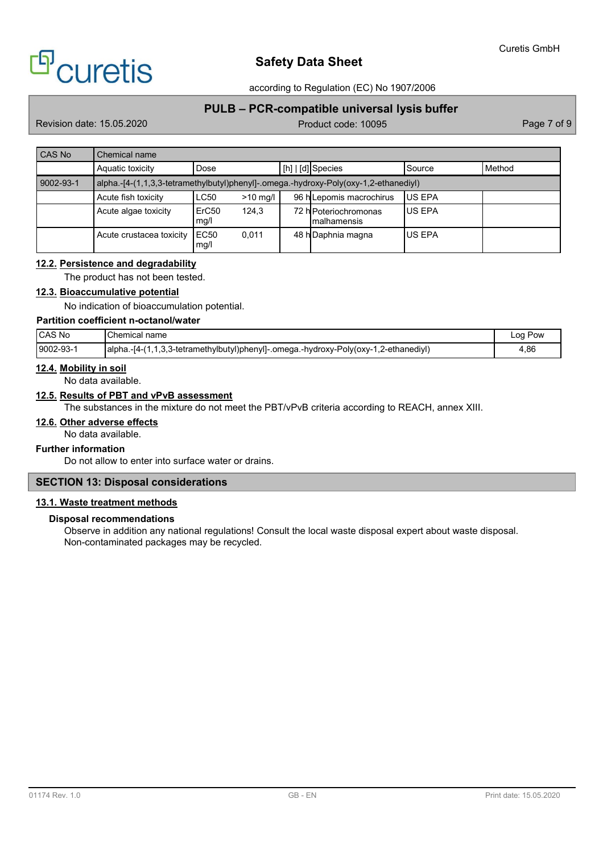

according to Regulation (EC) No 1907/2006

# **PULB – PCR-compatible universal lysis buffer**

Revision date: 15.05.2020 **Product code: 10095** Page 7 of 9

| <b>CAS No</b> | Chemical name                                                                        |               |            |  |                                              |               |        |
|---------------|--------------------------------------------------------------------------------------|---------------|------------|--|----------------------------------------------|---------------|--------|
|               | Aquatic toxicity                                                                     | Dose          |            |  | [h]   [d] Species                            | Source        | Method |
| 9002-93-1     | alpha.-[4-(1,1,3,3-tetramethylbutyl)phenyl]-.omega.-hydroxy-Poly(oxy-1,2-ethanediyl) |               |            |  |                                              |               |        |
|               | Acute fish toxicity                                                                  | <b>LC50</b>   | $>10$ mg/l |  | 96 h Lepomis macrochirus                     | <b>US EPA</b> |        |
|               | Acute algae toxicity                                                                 | ErC50<br>mg/l | 124.3      |  | 72 h Poteriochromonas<br><b>Imalhamensis</b> | <b>US EPA</b> |        |
|               | Acute crustacea toxicity                                                             | EC50<br>mg/l  | 0,011      |  | 48 hDaphnia magna                            | <b>US EPA</b> |        |

## **12.2. Persistence and degradability**

The product has not been tested.

## **12.3. Bioaccumulative potential**

No indication of bioaccumulation potential.

# **Partition coefficient n-octanol/water**

| <b>CAS No</b> | Chemical<br>name                                                                                                                     | Pow<br>LOO |
|---------------|--------------------------------------------------------------------------------------------------------------------------------------|------------|
| $9002-93-7$   | . (2-ethanediy). .<br>alpha<br>$\overline{\phantom{a}}$<br>1,3,3-tetramethylbutyl)phenyl]-.omega.-hydroxy-Poly(oxy-1<br>-14-1<br>. . | 4,86       |

## **12.4. Mobility in soil**

No data available.

## **12.5. Results of PBT and vPvB assessment**

The substances in the mixture do not meet the PBT/vPvB criteria according to REACH, annex XIII.

# **12.6. Other adverse effects**

No data available.

### **Further information**

Do not allow to enter into surface water or drains.

# **SECTION 13: Disposal considerations**

## **13.1. Waste treatment methods**

## **Disposal recommendations**

Observe in addition any national regulations! Consult the local waste disposal expert about waste disposal. Non-contaminated packages may be recycled.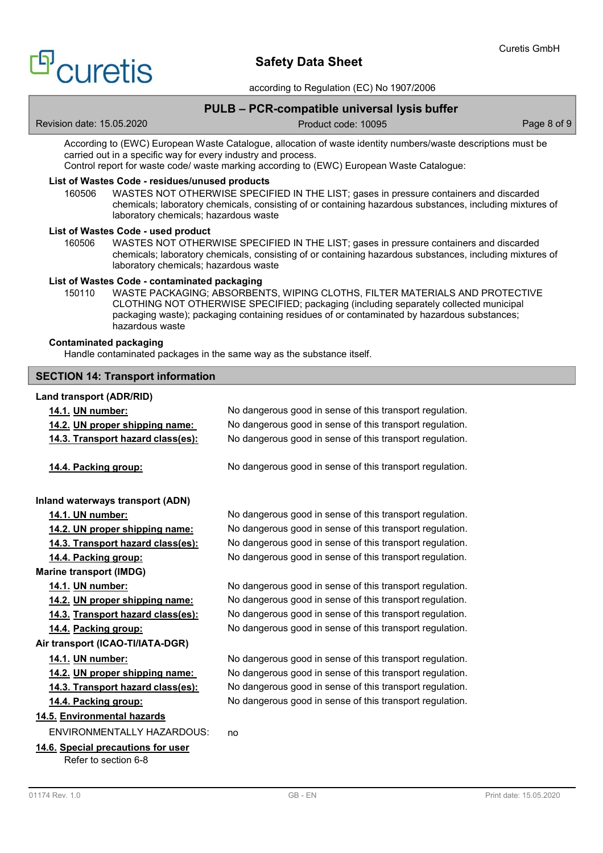# <sup>9</sup>curetis

# **Safety Data Sheet**

according to Regulation (EC) No 1907/2006

# **PULB – PCR-compatible universal lysis buffer**

Revision date: 15.05.2020 **Product code: 10095** Page 8 of 9

According to (EWC) European Waste Catalogue, allocation of waste identity numbers/waste descriptions must be carried out in a specific way for every industry and process. Control report for waste code/ waste marking according to (EWC) European Waste Catalogue:

## **List of Wastes Code - residues/unused products**

160506 WASTES NOT OTHERWISE SPECIFIED IN THE LIST; gases in pressure containers and discarded chemicals; laboratory chemicals, consisting of or containing hazardous substances, including mixtures of laboratory chemicals; hazardous waste

## **List of Wastes Code - used product**

160506 WASTES NOT OTHERWISE SPECIFIED IN THE LIST; gases in pressure containers and discarded chemicals; laboratory chemicals, consisting of or containing hazardous substances, including mixtures of laboratory chemicals; hazardous waste

## **List of Wastes Code - contaminated packaging**

150110 WASTE PACKAGING; ABSORBENTS, WIPING CLOTHS, FILTER MATERIALS AND PROTECTIVE CLOTHING NOT OTHERWISE SPECIFIED; packaging (including separately collected municipal packaging waste); packaging containing residues of or contaminated by hazardous substances; hazardous waste

## **Contaminated packaging**

Handle contaminated packages in the same way as the substance itself.

## **SECTION 14: Transport information**

## **Land transport (ADR/RID)**

| 14.1. UN number:                   | No dangerous good in sense of this transport regulation. |
|------------------------------------|----------------------------------------------------------|
| 14.2. UN proper shipping name:     | No dangerous good in sense of this transport regulation. |
| 14.3. Transport hazard class(es):  | No dangerous good in sense of this transport regulation. |
|                                    |                                                          |
| 14.4. Packing group:               | No dangerous good in sense of this transport regulation. |
|                                    |                                                          |
| Inland waterways transport (ADN)   |                                                          |
| 14.1. UN number:                   | No dangerous good in sense of this transport regulation. |
| 14.2. UN proper shipping name:     | No dangerous good in sense of this transport regulation. |
| 14.3. Transport hazard class(es):  | No dangerous good in sense of this transport regulation. |
| 14.4. Packing group:               | No dangerous good in sense of this transport regulation. |
| <b>Marine transport (IMDG)</b>     |                                                          |
| 14.1. UN number:                   | No dangerous good in sense of this transport regulation. |
| 14.2. UN proper shipping name:     | No dangerous good in sense of this transport regulation. |
| 14.3. Transport hazard class(es):  | No dangerous good in sense of this transport regulation. |
| 14.4. Packing group:               | No dangerous good in sense of this transport regulation. |
| Air transport (ICAO-TI/IATA-DGR)   |                                                          |
| 14.1. UN number:                   | No dangerous good in sense of this transport regulation. |
| 14.2. UN proper shipping name:     | No dangerous good in sense of this transport regulation. |
| 14.3. Transport hazard class(es):  | No dangerous good in sense of this transport regulation. |
| 14.4. Packing group:               | No dangerous good in sense of this transport regulation. |
| 14.5. Environmental hazards        |                                                          |
| <b>ENVIRONMENTALLY HAZARDOUS:</b>  | no                                                       |
| 14.6. Special precautions for user |                                                          |
| Refer to section 6-8               |                                                          |
|                                    |                                                          |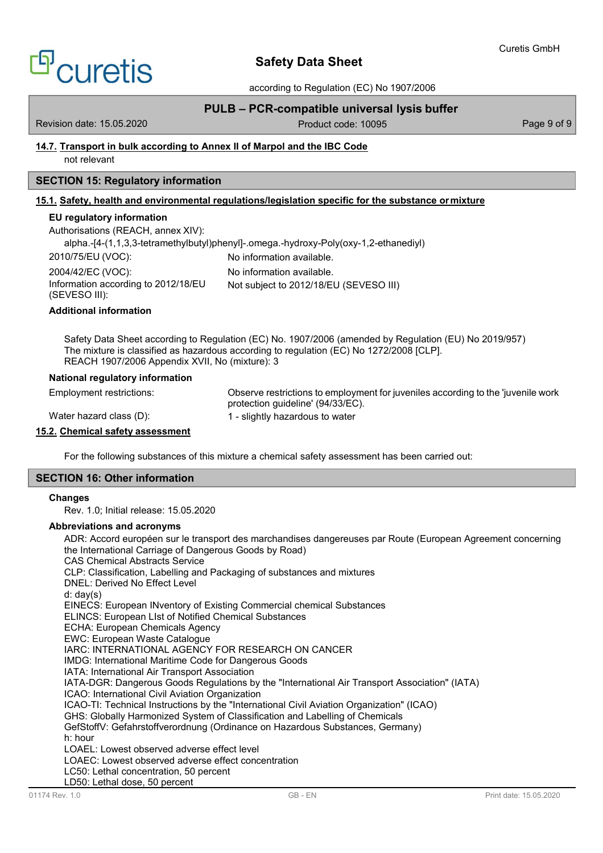# <sup>9'</sup>Curetis

# **Safety Data Sheet**

according to Regulation (EC) No 1907/2006

# **PULB – PCR-compatible universal lysis buffer**

Revision date: 15.05.2020 **Product code: 10095** Page 9 of 9

## **14.7. Transport in bulk according to Annex II of Marpol and the IBC Code**

not relevant

# **SECTION 15: Regulatory information**

# **15.1. Safety, health and environmental regulations/legislation specific for the substance ormixture**

## **EU regulatory information**

| Authorisations (REACH, annex XIV):                   |                                                                                      |
|------------------------------------------------------|--------------------------------------------------------------------------------------|
|                                                      | alpha.-[4-(1,1,3,3-tetramethylbutyl)phenyl]-.omega.-hydroxy-Poly(oxy-1,2-ethanediyl) |
| 2010/75/EU (VOC):                                    | No information available.                                                            |
| 2004/42/EC (VOC):                                    | No information available.                                                            |
| Information according to 2012/18/EU<br>(SEVESO III): | Not subject to 2012/18/EU (SEVESO III)                                               |
| <b>Additional information</b>                        |                                                                                      |
|                                                      |                                                                                      |

Safety Data Sheet according to Regulation (EC) No. 1907/2006 (amended by Regulation (EU) No 2019/957) The mixture is classified as hazardous according to regulation (EC) No 1272/2008 [CLP]. REACH 1907/2006 Appendix XVII, No (mixture): 3

## **National regulatory information**

Employment restrictions:

Water hazard class (D):

protection guideline' (94/33/EC). 1 - slightly hazardous to water

Observe restrictions to employment for juveniles according to the 'juvenile work

## **15.2. Chemical safety assessment**

For the following substances of this mixture a chemical safety assessment has been carried out:

## **SECTION 16: Other information**

## **Changes**

Rev. 1.0; Initial release: 15.05.2020

# **Abbreviations and acronyms**

ADR: Accord européen sur le transport des marchandises dangereuses par Route (European Agreement concerning the International Carriage of Dangerous Goods by Road) CAS Chemical Abstracts Service CLP: Classification, Labelling and Packaging of substances and mixtures DNEL: Derived No Effect Level d: day(s) EINECS: European INventory of Existing Commercial chemical Substances ELINCS: European LIst of Notified Chemical Substances ECHA: European Chemicals Agency EWC: European Waste Catalogue IARC: INTERNATIONAL AGENCY FOR RESEARCH ON CANCER IMDG: International Maritime Code for Dangerous Goods IATA: International Air Transport Association IATA-DGR: Dangerous Goods Regulations by the "International Air Transport Association" (IATA) ICAO: International Civil Aviation Organization ICAO-TI: Technical Instructions by the "International Civil Aviation Organization" (ICAO) GHS: Globally Harmonized System of Classification and Labelling of Chemicals GefStoffV: Gefahrstoffverordnung (Ordinance on Hazardous Substances, Germany) h: hour LOAEL: Lowest observed adverse effect level LOAEC: Lowest observed adverse effect concentration LC50: Lethal concentration, 50 percent LD50: Lethal dose, 50 percent